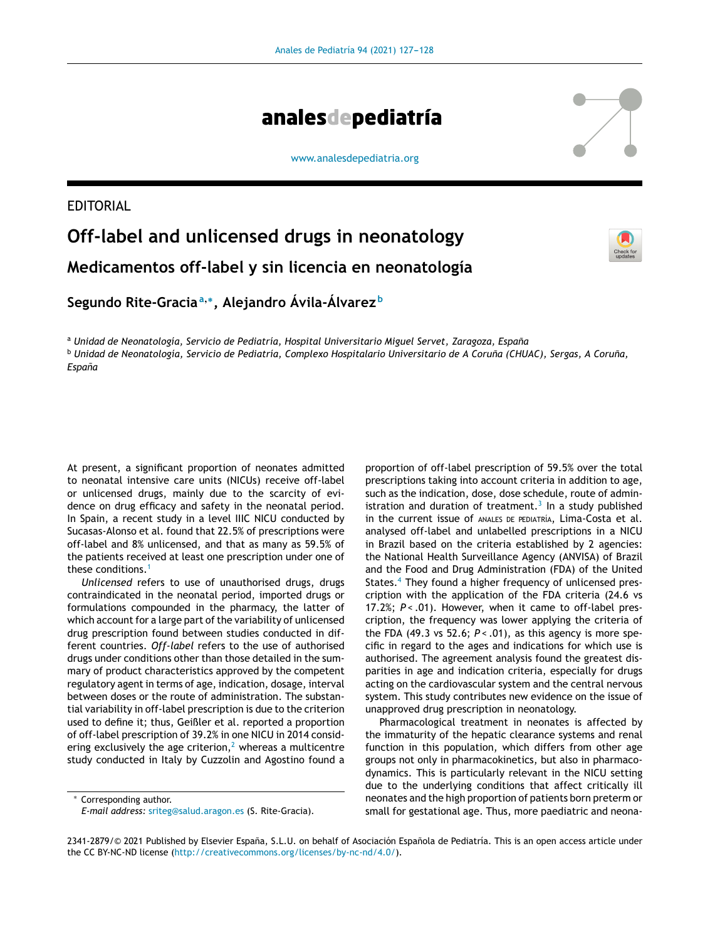

[www.analesdepediatria.org](http://www.analesdepediatria.org)

## EDITORIAL

## **Off-label and unlicensed drugs in neonatology Medicamentos off-label y sin licencia en neonatología**



**Segundo Rite-Gracia<sup>a</sup>**,<sup>∗</sup> **, Alejandro Ávila-Álvarez <sup>b</sup>**

<sup>a</sup> *Unidad de Neonatología, Servicio de Pediatría, Hospital Universitario Miguel Servet, Zaragoza, Espana˜* <sup>b</sup> Unidad de Neonatología, Servicio de Pediatría, Complexo Hospitalario Universitario de A Coruña (CHUAC), Sergas, A Coruña, *Espana˜*

At present, a significant proportion of neonates admitted to neonatal intensive care units (NICUs) receive off-label or unlicensed drugs, mainly due to the scarcity of evidence on drug efficacy and safety in the neonatal period. In Spain, a recent study in a level IIIC NICU conducted by Sucasas-Alonso et al. found that 22.5% of prescriptions were off-label and 8% unlicensed, and that as many as 59.5% of the patients received at least one prescription under one of these conditions.<sup>[1](#page-1-0)</sup>

*Unlicensed* refers to use of unauthorised drugs, drugs contraindicated in the neonatal period, imported drugs or formulations compounded in the pharmacy, the latter of which account for a large part of the variability of unlicensed drug prescription found between studies conducted in different countries. *Off-label* refers to the use of authorised drugs under conditions other than those detailed in the summary of product characteristics approved by the competent regulatory agent in terms of age, indication, dosage, interval between doses or the route of administration. The substantial variability in off-label prescription is due to the criterion used to define it; thus, Geißler et al. reported a proportion of off-label prescription of 39.2% in one NICU in 2014 considering exclusively the age criterion,<sup>2</sup> [w](#page-1-0)hereas a multicentre study conducted in Italy by Cuzzolin and Agostino found a

Corresponding author.

proportion of off-label prescription of 59.5% over the total prescriptions taking into account criteria in addition to age, such as the indication, dose, dose schedule, route of administration and duration of treatment. $3$  In a study published in the current issue of ANALES DE PEDIATRÍA, Lima-Costa et al. analysed off-label and unlabelled prescriptions in a NICU in Brazil based on the criteria established by 2 agencies: the National Health Surveillance Agency (ANVISA) of Brazil and the Food and Drug Administration (FDA) of the United States.<sup>[4](#page-1-0)</sup> They found a higher frequency of unlicensed prescription with the application of the FDA criteria (24.6 vs 17.2%;  $P < .01$ ). However, when it came to off-label prescription, the frequency was lower applying the criteria of the FDA (49.3 vs 52.6; *P <* .01), as this agency is more specific in regard to the ages and indications for which use is authorised. The agreement analysis found the greatest disparities in age and indication criteria, especially for drugs acting on the cardiovascular system and the central nervous system. This study contributes new evidence on the issue of unapproved drug prescription in neonatology.

Pharmacological treatment in neonates is affected by the immaturity of the hepatic clearance systems and renal function in this population, which differs from other age groups not only in pharmacokinetics, but also in pharmacodynamics. This is particularly relevant in the NICU setting due to the underlying conditions that affect critically ill neonates and the high proportion of patients born preterm or small for gestational age. Thus, more paediatric and neona-





*E-mail address:* [sriteg@salud.aragon.es](mailto:sriteg@salud.aragon.es) (S. Rite-Gracia).

<sup>2341-2879/© 2021</sup> Published by Elsevier España, S.L.U. on behalf of Asociación Española de Pediatría. This is an open access article under the CC BY-NC-ND license [\(http://creativecommons.org/licenses/by-nc-nd/4.0/\)](http://creativecommons.org/licenses/by-nc-nd/4.0/).